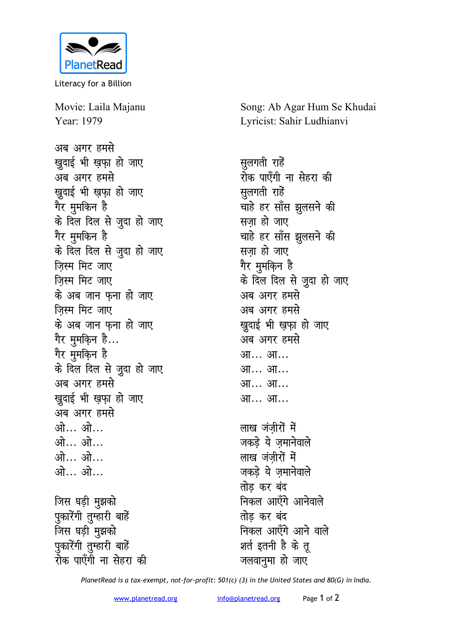

Literacy for a Billion

Movie: Laila Majanu Year: 1979

अब अगर हमसे **खदाई भी खफा हो जाए** अब अगर हमसे *खु*दाई भी ख़फ़ा हो जाए गेर मुमकिन है के दिल दिल से जूदा हो जाए <u>गैर मु</u>मकिन है के दिल दिल से जूदा हो जाए जिस्म मिट जाए **जिस्म मिट जाए** <u>के अब जान फना हो जाए</u> <u>जिस्म मिट जाए</u> <u>के अब जान फना हो जाए</u> गेर मुमक<del>़</del>िन है... <u>गैर मु</u>मकिन है के दिल दिल से जूदा हो जाए अब अगर हमसे *l* सुदाई भी ख़फा हो जाए अब अगर हमसे <u>ओ… ओ…</u> <u>ओ… ओ…</u> <u>ओ… ओ…</u> **vks--- vks--- जिस घड़ी मुझको** 

पुकारेंगी तुम्हारी बाहें <u>जिस घड़ी मुझको</u> पुकारेंगी तुम्हारी बाहें रोक पाएँगी ना से**हरा** की Song: Ab Agar Hum Se Khudai Lyricist: Sahir Ludhianvi

**सलगती** राहें रोक पाएँगी ना से**हरा** की **सूलगती** राहें चाहे हर साँस झुलसने की **सजा हो जाए** चाहे हर साँस झुलसने की **सजा हो जाए** <u>गैर मु</u>मकि़न है के दिल दिल से जूदा हो जाए अब अगर हमसे अब अगर हमसे *खुदाई भी ख़फ़ा हो जाए* अब अगर **हमसे** आ… आ… आ... आ... आ... आ... आ... आ... **लाख** जंजीरों में

जकड़े ये ज़मानेवाले लाख जंजीरों में जकड़े ये जमानेवाले **तोड कर बंद** निकल आएँगे आनेवाल<mark>े</mark> **तोड** कर बंद **निकल आएँगे आने वाले** शर्त इतनी है के तू जलवानुमा हो जाए

*PlanetRead is a tax-exempt, not-for-profit: 501(c) (3) in the United States and 80(G) in India.*